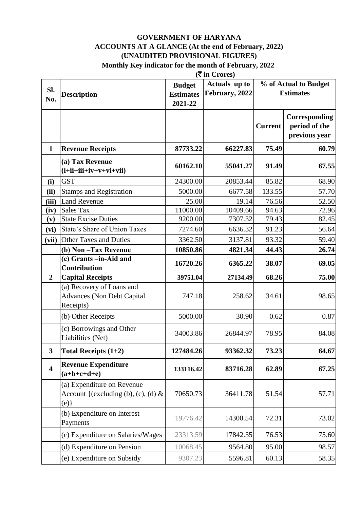#### **GOVERNMENT OF HARYANA ACCOUNTS AT A GLANCE (At the end of February, 2022) (UNAUDITED PROVISIONAL FIGURES) Monthly Key indicator for the month of February, 2022**

|                         | $(\overline{\mathbf{\overline{z}}}$ in Crores)                              |                                              |                                 |                |                                                 |
|-------------------------|-----------------------------------------------------------------------------|----------------------------------------------|---------------------------------|----------------|-------------------------------------------------|
| SI.<br>No.              | <b>Description</b>                                                          | <b>Budget</b><br><b>Estimates</b><br>2021-22 | Actuals up to<br>February, 2022 |                | % of Actual to Budget<br><b>Estimates</b>       |
|                         |                                                                             |                                              |                                 | <b>Current</b> | Corresponding<br>period of the<br>previous year |
| $\mathbf{1}$            | <b>Revenue Receipts</b>                                                     | 87733.22                                     | 66227.83                        | 75.49          | 60.79                                           |
|                         | (a) Tax Revenue<br>$(i+ii+iii+iv+v+vi+vii)$                                 | 60162.10                                     | 55041.27                        | 91.49          | 67.55                                           |
| (i)                     | <b>GST</b>                                                                  | 24300.00                                     | 20853.44                        | 85.82          | 68.90                                           |
| (ii)                    | <b>Stamps and Registration</b>                                              | 5000.00                                      | 6677.58                         | 133.55         | 57.70                                           |
| (iii)                   | <b>Land Revenue</b>                                                         | 25.00                                        | 19.14                           | 76.56          | 52.50                                           |
| (iv)                    | <b>Sales Tax</b>                                                            | 11000.00                                     | 10409.66                        | 94.63          | 72.96                                           |
| (v)                     | <b>State Excise Duties</b>                                                  | 9200.00                                      | 7307.32                         | 79.43          | 82.45                                           |
| (vi)                    | State's Share of Union Taxes                                                | 7274.60                                      | 6636.32                         | 91.23          | 56.64                                           |
| (vii)                   | <b>Other Taxes and Duties</b>                                               | 3362.50                                      | 3137.81                         | 93.32          | 59.40                                           |
|                         | (b) Non-Tax Revenue                                                         | 10850.86                                     | 4821.34                         | 44.43          | 26.74                                           |
|                         | (c) Grants -in-Aid and<br>Contribution                                      | 16720.26                                     | 6365.22                         | 38.07          | 69.05                                           |
| $\overline{2}$          | <b>Capital Receipts</b>                                                     | 39751.04                                     | 27134.49                        | 68.26          | 75.00                                           |
|                         | (a) Recovery of Loans and<br><b>Advances (Non Debt Capital</b><br>Receipts) | 747.18                                       | 258.62                          | 34.61          | 98.65                                           |
|                         | (b) Other Receipts                                                          | 5000.00                                      | 30.90                           | 0.62           | 0.87                                            |
|                         | (c) Borrowings and Other<br>Liabilities (Net)                               | 34003.86                                     | 26844.97                        | 78.95          | 84.08                                           |
| $\mathbf{3}$            | Total Receipts $(1+2)$                                                      | 127484.26                                    | 93362.32                        | 73.23          | 64.67                                           |
| $\overline{\mathbf{4}}$ | <b>Revenue Expenditure</b><br>$(a+b+c+d+e)$                                 | 133116.42                                    | 83716.28                        | 62.89          | 67.25                                           |
|                         | (a) Expenditure on Revenue<br>Account {(excluding (b), (c), (d) &<br>(e)    | 70650.73                                     | 36411.78                        | 51.54          | 57.71                                           |
|                         | (b) Expenditure on Interest<br>Payments                                     | 19776.42                                     | 14300.54                        | 72.31          | 73.02                                           |
|                         | (c) Expenditure on Salaries/Wages                                           | 23313.59                                     | 17842.35                        | 76.53          | 75.60                                           |
|                         | (d) Expenditure on Pension                                                  | 10068.45                                     | 9564.80                         | 95.00          | 98.57                                           |
|                         | (e) Expenditure on Subsidy                                                  | 9307.23                                      | 5596.81                         | 60.13          | 58.35                                           |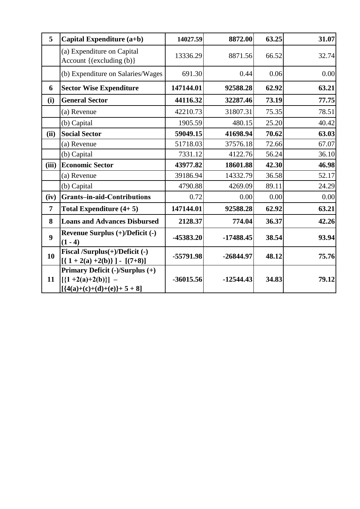| 5              | Capital Expenditure (a+b)                                                              | 14027.59    | 8872.00     | 63.25 | 31.07 |
|----------------|----------------------------------------------------------------------------------------|-------------|-------------|-------|-------|
|                | (a) Expenditure on Capital<br>Account {(excluding (b)}                                 | 13336.29    | 8871.56     | 66.52 | 32.74 |
|                | (b) Expenditure on Salaries/Wages                                                      | 691.30      | 0.44        | 0.06  | 0.00  |
| 6              | <b>Sector Wise Expenditure</b>                                                         | 147144.01   | 92588.28    | 62.92 | 63.21 |
| (i)            | <b>General Sector</b>                                                                  | 44116.32    | 32287.46    | 73.19 | 77.75 |
|                | (a) Revenue                                                                            | 42210.73    | 31807.31    | 75.35 | 78.51 |
|                | (b) Capital                                                                            | 1905.59     | 480.15      | 25.20 | 40.42 |
| (ii)           | <b>Social Sector</b>                                                                   | 59049.15    | 41698.94    | 70.62 | 63.03 |
|                | (a) Revenue                                                                            | 51718.03    | 37576.18    | 72.66 | 67.07 |
|                | (b) Capital                                                                            | 7331.12     | 4122.76     | 56.24 | 36.10 |
| (iii)          | <b>Economic Sector</b>                                                                 | 43977.82    | 18601.88    | 42.30 | 46.98 |
|                | (a) Revenue                                                                            | 39186.94    | 14332.79    | 36.58 | 52.17 |
|                | (b) Capital                                                                            | 4790.88     | 4269.09     | 89.11 | 24.29 |
| (iv)           | <b>Grants-in-aid-Contributions</b>                                                     | 0.72        | 0.00        | 0.00  | 0.00  |
| $\overline{7}$ | Total Expenditure $(4+5)$                                                              | 147144.01   | 92588.28    | 62.92 | 63.21 |
| 8              | <b>Loans and Advances Disbursed</b>                                                    | 2128.37     | 774.04      | 36.37 | 42.26 |
| 9              | Revenue Surplus (+)/Deficit (-)<br>$(1 - 4)$                                           | -45383.20   | $-17488.45$ | 38.54 | 93.94 |
| 10             | Fiscal /Surplus(+)/Deficit (-)<br>$[(1+2(a)+2(b))] - [(7+8)]$                          | -55791.98   | $-26844.97$ | 48.12 | 75.76 |
| 11             | Primary Deficit (-)/Surplus (+)<br>$[{1+2(a)+2(b)}]$ –<br>$[ {4(a)+(c)+(d)+(e)}+5+8 ]$ | $-36015.56$ | $-12544.43$ | 34.83 | 79.12 |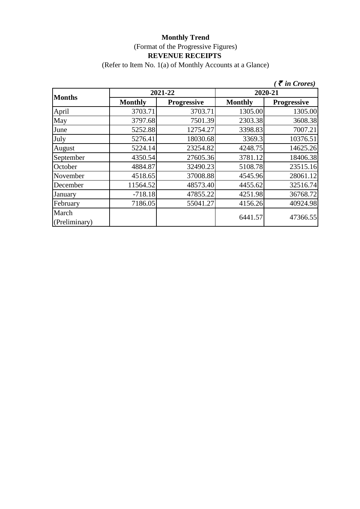(Refer to Item No. 1(a) of Monthly Accounts at a Glance)

|                        |                |             |                | $\tilde{\tau}$ in Crores) |  |
|------------------------|----------------|-------------|----------------|---------------------------|--|
| <b>Months</b>          |                | 2021-22     | 2020-21        |                           |  |
|                        | <b>Monthly</b> | Progressive | <b>Monthly</b> | <b>Progressive</b>        |  |
| April                  | 3703.71        | 3703.71     | 1305.00        | 1305.00                   |  |
| May                    | 3797.68        | 7501.39     | 2303.38        | 3608.38                   |  |
| June                   | 5252.88        | 12754.27    | 3398.83        | 7007.21                   |  |
| July                   | 5276.41        | 18030.68    | 3369.3         | 10376.51                  |  |
| August                 | 5224.14        | 23254.82    | 4248.75        | 14625.26                  |  |
| September              | 4350.54        | 27605.36    | 3781.12        | 18406.38                  |  |
| October                | 4884.87        | 32490.23    | 5108.78        | 23515.16                  |  |
| November               | 4518.65        | 37008.88    | 4545.96        | 28061.12                  |  |
| December               | 11564.52       | 48573.40    | 4455.62        | 32516.74                  |  |
| January                | $-718.18$      | 47855.22    | 4251.98        | 36768.72                  |  |
| February               | 7186.05        | 55041.27    | 4156.26        | 40924.98                  |  |
| March<br>(Preliminary) |                |             | 6441.57        | 47366.55                  |  |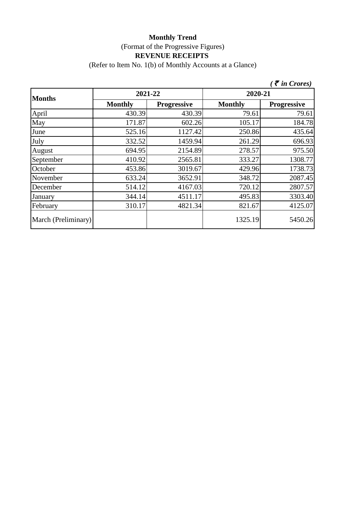(Refer to Item No. 1(b) of Monthly Accounts at a Glance)

|                     |                |                    |                | $\zeta$ $\bar{\zeta}$ in Crores) |
|---------------------|----------------|--------------------|----------------|----------------------------------|
| <b>Months</b>       | 2021-22        |                    | 2020-21        |                                  |
|                     | <b>Monthly</b> | <b>Progressive</b> | <b>Monthly</b> | <b>Progressive</b>               |
| April               | 430.39         | 430.39             | 79.61          | 79.61                            |
| May                 | 171.87         | 602.26             | 105.17         | 184.78                           |
| June                | 525.16         | 1127.42            | 250.86         | 435.64                           |
| July                | 332.52         | 1459.94            | 261.29         | 696.93                           |
| August              | 694.95         | 2154.89            | 278.57         | 975.50                           |
| September           | 410.92         | 2565.81            | 333.27         | 1308.77                          |
| October             | 453.86         | 3019.67            | 429.96         | 1738.73                          |
| November            | 633.24         | 3652.91            | 348.72         | 2087.45                          |
| December            | 514.12         | 4167.03            | 720.12         | 2807.57                          |
| January             | 344.14         | 4511.17            | 495.83         | 3303.40                          |
| February            | 310.17         | 4821.34            | 821.67         | 4125.07                          |
| March (Preliminary) |                |                    | 1325.19        | 5450.26                          |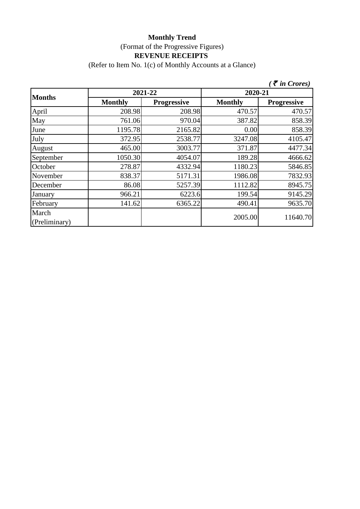(Refer to Item No. 1(c) of Monthly Accounts at a Glance)

|                        |                |                    |                | $\zeta$ <i>( <math>\bar{\zeta}</math> in Crores)</i> |
|------------------------|----------------|--------------------|----------------|------------------------------------------------------|
|                        | 2021-22        |                    | 2020-21        |                                                      |
| <b>Months</b>          | <b>Monthly</b> | <b>Progressive</b> | <b>Monthly</b> | <b>Progressive</b>                                   |
| April                  | 208.98         | 208.98             | 470.57         | 470.57                                               |
| May                    | 761.06         | 970.04             | 387.82         | 858.39                                               |
| June                   | 1195.78        | 2165.82            | 0.00           | 858.39                                               |
| July                   | 372.95         | 2538.77            | 3247.08        | 4105.47                                              |
| August                 | 465.00         | 3003.77            | 371.87         | 4477.34                                              |
| September              | 1050.30        | 4054.07            | 189.28         | 4666.62                                              |
| October                | 278.87         | 4332.94            | 1180.23        | 5846.85                                              |
| November               | 838.37         | 5171.31            | 1986.08        | 7832.93                                              |
| December               | 86.08          | 5257.39            | 1112.82        | 8945.75                                              |
| January                | 966.21         | 6223.6             | 199.54         | 9145.29                                              |
| February               | 141.62         | 6365.22            | 490.41         | 9635.70                                              |
| March<br>(Preliminary) |                |                    | 2005.00        | 11640.70                                             |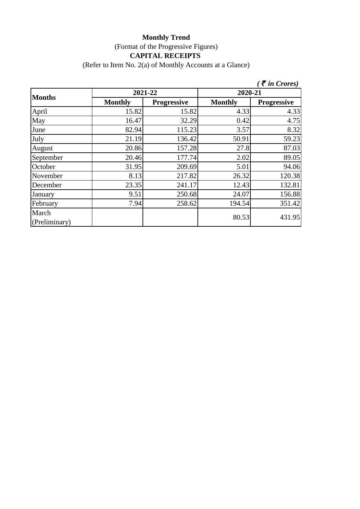## **Monthly Trend** (Format of the Progressive Figures) **CAPITAL RECEIPTS**

(Refer to Item No. 2(a) of Monthly Accounts at a Glance)

|                        |                |                    |                | $\zeta$ $\bar{\zeta}$ in Crores) |
|------------------------|----------------|--------------------|----------------|----------------------------------|
| <b>Months</b>          |                | 2021-22            | 2020-21        |                                  |
|                        | <b>Monthly</b> | <b>Progressive</b> | <b>Monthly</b> | <b>Progressive</b>               |
| April                  | 15.82          | 15.82              | 4.33           | 4.33                             |
| May                    | 16.47          | 32.29              | 0.42           | 4.75                             |
| June                   | 82.94          | 115.23             | 3.57           | 8.32                             |
| July                   | 21.19          | 136.42             | 50.91          | 59.23                            |
| August                 | 20.86          | 157.28             | 27.8           | 87.03                            |
| September              | 20.46          | 177.74             | 2.02           | 89.05                            |
| October                | 31.95          | 209.69             | 5.01           | 94.06                            |
| November               | 8.13           | 217.82             | 26.32          | 120.38                           |
| December               | 23.35          | 241.17             | 12.43          | 132.81                           |
| January                | 9.51           | 250.68             | 24.07          | 156.88                           |
| February               | 7.94           | 258.62             | 194.54         | 351.42                           |
| March<br>(Preliminary) |                |                    | 80.53          | 431.95                           |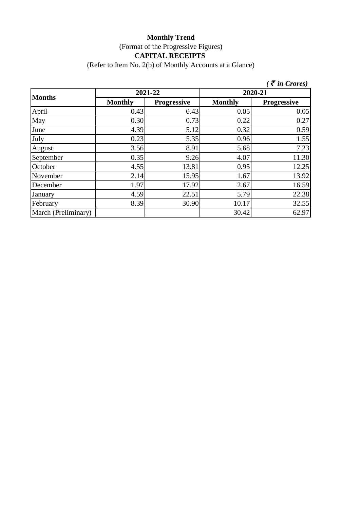# **Monthly Trend** (Format of the Progressive Figures) **CAPITAL RECEIPTS**

(Refer to Item No. 2(b) of Monthly Accounts at a Glance)

|                     |                |             |                | $\zeta$ $\bar{\zeta}$ in Crores) |
|---------------------|----------------|-------------|----------------|----------------------------------|
|                     |                | 2021-22     |                | 2020-21                          |
| <b>Months</b>       | <b>Monthly</b> | Progressive | <b>Monthly</b> | <b>Progressive</b>               |
| April               | 0.43           | 0.43        | 0.05           | 0.05                             |
| May                 | 0.30           | 0.73        | 0.22           | 0.27                             |
| June                | 4.39           | 5.12        | 0.32           | 0.59                             |
| July                | 0.23           | 5.35        | 0.96           | 1.55                             |
| August              | 3.56           | 8.91        | 5.68           | 7.23                             |
| September           | 0.35           | 9.26        | 4.07           | 11.30                            |
| October             | 4.55           | 13.81       | 0.95           | 12.25                            |
| November            | 2.14           | 15.95       | 1.67           | 13.92                            |
| December            | 1.97           | 17.92       | 2.67           | 16.59                            |
| January             | 4.59           | 22.51       | 5.79           | 22.38                            |
| February            | 8.39           | 30.90       | 10.17          | 32.55                            |
| March (Preliminary) |                |             | 30.42          | 62.97                            |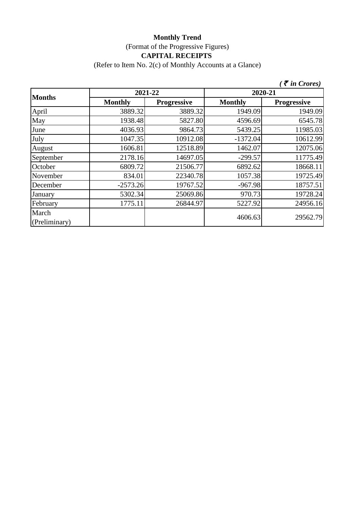## **Monthly Trend** (Format of the Progressive Figures) **CAPITAL RECEIPTS**

(Refer to Item No. 2(c) of Monthly Accounts at a Glance)

|                        |                |                    |                | $\zeta$ $\bar{\zeta}$ in Crores) |
|------------------------|----------------|--------------------|----------------|----------------------------------|
|                        | 2021-22        |                    |                | 2020-21                          |
| <b>Months</b>          | <b>Monthly</b> | <b>Progressive</b> | <b>Monthly</b> | <b>Progressive</b>               |
| April                  | 3889.32        | 3889.32            | 1949.09        | 1949.09                          |
| May                    | 1938.48        | 5827.80            | 4596.69        | 6545.78                          |
| June                   | 4036.93        | 9864.73            | 5439.25        | 11985.03                         |
| July                   | 1047.35        | 10912.08           | $-1372.04$     | 10612.99                         |
| August                 | 1606.81        | 12518.89           | 1462.07        | 12075.06                         |
| September              | 2178.16        | 14697.05           | $-299.57$      | 11775.49                         |
| October                | 6809.72        | 21506.77           | 6892.62        | 18668.11                         |
| November               | 834.01         | 22340.78           | 1057.38        | 19725.49                         |
| December               | $-2573.26$     | 19767.52           | $-967.98$      | 18757.51                         |
| January                | 5302.34        | 25069.86           | 970.73         | 19728.24                         |
| February               | 1775.11        | 26844.97           | 5227.92        | 24956.16                         |
| March<br>(Preliminary) |                |                    | 4606.63        | 29562.79                         |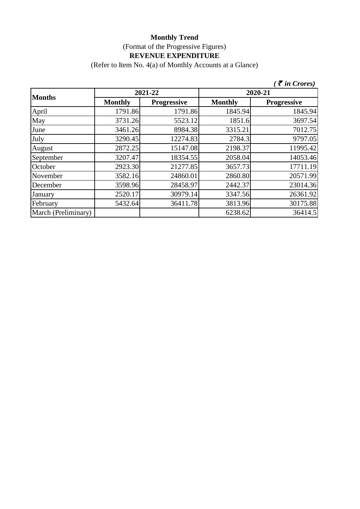(Refer to Item No. 4(a) of Monthly Accounts at a Glance)

|                     |                |                    |                | $\zeta$ <i>(† in Crores)</i> |
|---------------------|----------------|--------------------|----------------|------------------------------|
|                     | 2021-22        |                    |                | 2020-21                      |
| <b>Months</b>       | <b>Monthly</b> | <b>Progressive</b> | <b>Monthly</b> | <b>Progressive</b>           |
| April               | 1791.86        | 1791.86            | 1845.94        | 1845.94                      |
| May                 | 3731.26        | 5523.12            | 1851.6         | 3697.54                      |
| June                | 3461.26        | 8984.38            | 3315.21        | 7012.75                      |
| July                | 3290.45        | 12274.83           | 2784.3         | 9797.05                      |
| August              | 2872.25        | 15147.08           | 2198.37        | 11995.42                     |
| September           | 3207.47        | 18354.55           | 2058.04        | 14053.46                     |
| October             | 2923.30        | 21277.85           | 3657.73        | 17711.19                     |
| November            | 3582.16        | 24860.01           | 2860.80        | 20571.99                     |
| December            | 3598.96        | 28458.97           | 2442.37        | 23014.36                     |
| January             | 2520.17        | 30979.14           | 3347.56        | 26361.92                     |
| February            | 5432.64        | 36411.78           | 3813.96        | 30175.88                     |
| March (Preliminary) |                |                    | 6238.62        | 36414.5                      |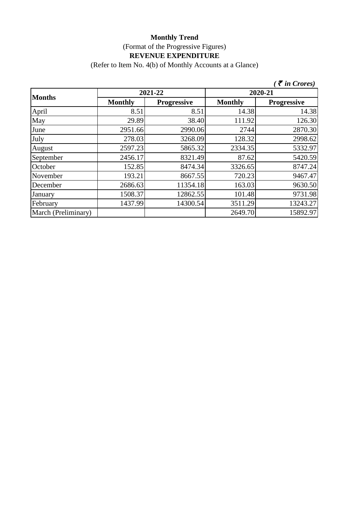(Refer to Item No. 4(b) of Monthly Accounts at a Glance)

|                     |                |                    |                | $\bar{\tau}$ in Crores) |
|---------------------|----------------|--------------------|----------------|-------------------------|
| <b>Months</b>       |                | 2021-22            |                | 2020-21                 |
|                     | <b>Monthly</b> | <b>Progressive</b> | <b>Monthly</b> | <b>Progressive</b>      |
| April               | 8.51           | 8.51               | 14.38          | 14.38                   |
| May                 | 29.89          | 38.40              | 111.92         | 126.30                  |
| June                | 2951.66        | 2990.06            | 2744           | 2870.30                 |
| July                | 278.03         | 3268.09            | 128.32         | 2998.62                 |
| August              | 2597.23        | 5865.32            | 2334.35        | 5332.97                 |
| September           | 2456.17        | 8321.49            | 87.62          | 5420.59                 |
| October             | 152.85         | 8474.34            | 3326.65        | 8747.24                 |
| November            | 193.21         | 8667.55            | 720.23         | 9467.47                 |
| December            | 2686.63        | 11354.18           | 163.03         | 9630.50                 |
| January             | 1508.37        | 12862.55           | 101.48         | 9731.98                 |
| February            | 1437.99        | 14300.54           | 3511.29        | 13243.27                |
| March (Preliminary) |                |                    | 2649.70        | 15892.97                |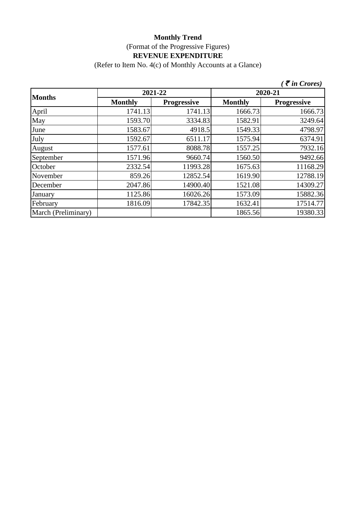(Refer to Item No. 4(c) of Monthly Accounts at a Glance)

|                     |                |                    |                | $\zeta$ $\bar{\zeta}$ in Crores) |
|---------------------|----------------|--------------------|----------------|----------------------------------|
| <b>Months</b>       |                | 2021-22            |                | 2020-21                          |
|                     | <b>Monthly</b> | <b>Progressive</b> | <b>Monthly</b> | <b>Progressive</b>               |
| April               | 1741.13        | 1741.13            | 1666.73        | 1666.73                          |
| May                 | 1593.70        | 3334.83            | 1582.91        | 3249.64                          |
| June                | 1583.67        | 4918.5             | 1549.33        | 4798.97                          |
| July                | 1592.67        | 6511.17            | 1575.94        | 6374.91                          |
| August              | 1577.61        | 8088.78            | 1557.25        | 7932.16                          |
| September           | 1571.96        | 9660.74            | 1560.50        | 9492.66                          |
| October             | 2332.54        | 11993.28           | 1675.63        | 11168.29                         |
| November            | 859.26         | 12852.54           | 1619.90        | 12788.19                         |
| December            | 2047.86        | 14900.40           | 1521.08        | 14309.27                         |
| January             | 1125.86        | 16026.26           | 1573.09        | 15882.36                         |
| February            | 1816.09        | 17842.35           | 1632.41        | 17514.77                         |
| March (Preliminary) |                |                    | 1865.56        | 19380.33                         |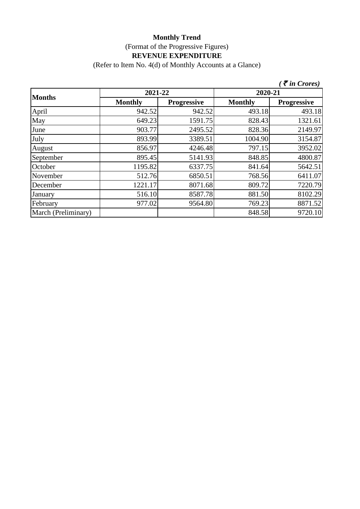(Refer to Item No. 4(d) of Monthly Accounts at a Glance)

|                     |                |                    |                | $\zeta$ $\bar{\zeta}$ in Crores) |
|---------------------|----------------|--------------------|----------------|----------------------------------|
|                     | 2021-22        |                    | 2020-21        |                                  |
| <b>Months</b>       | <b>Monthly</b> | <b>Progressive</b> | <b>Monthly</b> | <b>Progressive</b>               |
| April               | 942.52         | 942.52             | 493.18         | 493.18                           |
| May                 | 649.23         | 1591.75            | 828.43         | 1321.61                          |
| June                | 903.77         | 2495.52            | 828.36         | 2149.97                          |
| July                | 893.99         | 3389.51            | 1004.90        | 3154.87                          |
| August              | 856.97         | 4246.48            | 797.15         | 3952.02                          |
| September           | 895.45         | 5141.93            | 848.85         | 4800.87                          |
| October             | 1195.82        | 6337.75            | 841.64         | 5642.51                          |
| November            | 512.76         | 6850.51            | 768.56         | 6411.07                          |
| December            | 1221.17        | 8071.68            | 809.72         | 7220.79                          |
| January             | 516.10         | 8587.78            | 881.50         | 8102.29                          |
| February            | 977.02         | 9564.80            | 769.23         | 8871.52                          |
| March (Preliminary) |                |                    | 848.58         | 9720.10                          |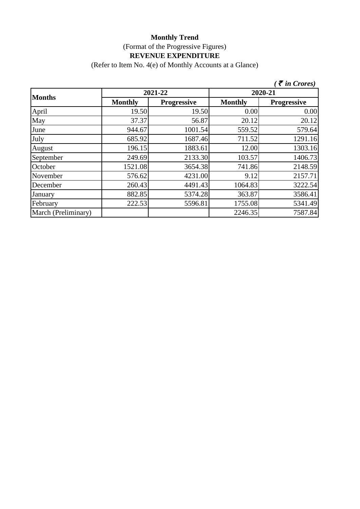(Refer to Item No. 4(e) of Monthly Accounts at a Glance)

|                     |                |                    |                | $\zeta$ <i>(† in Crores)</i> |
|---------------------|----------------|--------------------|----------------|------------------------------|
| <b>Months</b>       | 2021-22        |                    | 2020-21        |                              |
|                     | <b>Monthly</b> | <b>Progressive</b> | <b>Monthly</b> | <b>Progressive</b>           |
| April               | 19.50          | 19.50              | 0.00           | 0.00                         |
| May                 | 37.37          | 56.87              | 20.12          | 20.12                        |
| June                | 944.67         | 1001.54            | 559.52         | 579.64                       |
| July                | 685.92         | 1687.46            | 711.52         | 1291.16                      |
| August              | 196.15         | 1883.61            | 12.00          | 1303.16                      |
| September           | 249.69         | 2133.30            | 103.57         | 1406.73                      |
| October             | 1521.08        | 3654.38            | 741.86         | 2148.59                      |
| November            | 576.62         | 4231.00            | 9.12           | 2157.71                      |
| December            | 260.43         | 4491.43            | 1064.83        | 3222.54                      |
| January             | 882.85         | 5374.28            | 363.87         | 3586.41                      |
| February            | 222.53         | 5596.81            | 1755.08        | 5341.49                      |
| March (Preliminary) |                |                    | 2246.35        | 7587.84                      |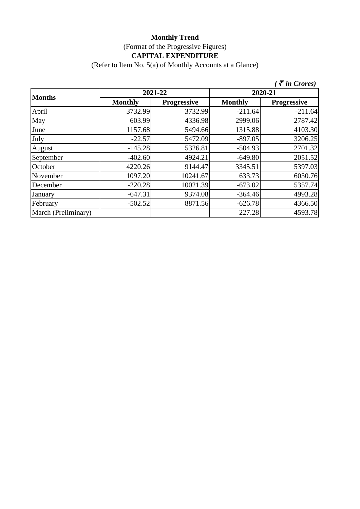### **Monthly Trend** (Format of the Progressive Figures) **CAPITAL EXPENDITURE**

(Refer to Item No. 5(a) of Monthly Accounts at a Glance)

|                     |                |                    |                | $\bar{\tau}$ in Crores) |
|---------------------|----------------|--------------------|----------------|-------------------------|
| <b>Months</b>       | 2021-22        |                    | 2020-21        |                         |
|                     | <b>Monthly</b> | <b>Progressive</b> | <b>Monthly</b> | <b>Progressive</b>      |
| April               | 3732.99        | 3732.99            | $-211.64$      | $-211.64$               |
| May                 | 603.99         | 4336.98            | 2999.06        | 2787.42                 |
| June                | 1157.68        | 5494.66            | 1315.88        | 4103.30                 |
| July                | $-22.57$       | 5472.09            | $-897.05$      | 3206.25                 |
| August              | $-145.28$      | 5326.81            | $-504.93$      | 2701.32                 |
| September           | $-402.60$      | 4924.21            | $-649.80$      | 2051.52                 |
| October             | 4220.26        | 9144.47            | 3345.51        | 5397.03                 |
| November            | 1097.20        | 10241.67           | 633.73         | 6030.76                 |
| December            | $-220.28$      | 10021.39           | $-673.02$      | 5357.74                 |
| January             | $-647.31$      | 9374.08            | $-364.46$      | 4993.28                 |
| February            | $-502.52$      | 8871.56            | $-626.78$      | 4366.50                 |
| March (Preliminary) |                |                    | 227.28         | 4593.78                 |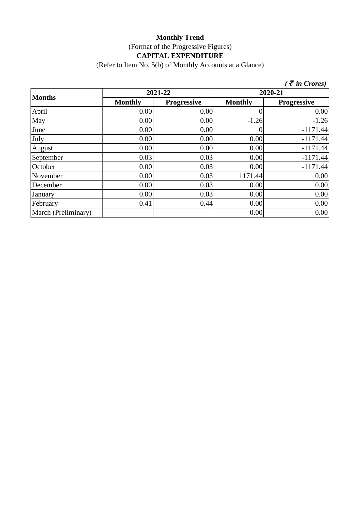## **Monthly Trend** (Format of the Progressive Figures) **CAPITAL EXPENDITURE**

(Refer to Item No. 5(b) of Monthly Accounts at a Glance)

|                     |                |                    |                | $\zeta$ $\bar{\zeta}$ in Crores) |
|---------------------|----------------|--------------------|----------------|----------------------------------|
| <b>Months</b>       | 2021-22        |                    | 2020-21        |                                  |
|                     | <b>Monthly</b> | <b>Progressive</b> | <b>Monthly</b> | <b>Progressive</b>               |
| April               | 0.00           | 0.00               |                | 0.00                             |
| May                 | 0.00           | 0.00               | $-1.26$        | $-1.26$                          |
| June                | 0.00           | 0.00               |                | $-1171.44$                       |
| July                | 0.00           | 0.00               | 0.00           | $-1171.44$                       |
| August              | 0.00           | 0.00               | 0.00           | $-1171.44$                       |
| September           | 0.03           | 0.03               | 0.00           | $-1171.44$                       |
| October             | 0.00           | 0.03               | 0.00           | $-1171.44$                       |
| November            | 0.00           | 0.03               | 1171.44        | 0.00                             |
| December            | 0.00           | 0.03               | 0.00           | 0.00                             |
| January             | 0.00           | 0.03               | 0.00           | 0.00                             |
| February            | 0.41           | 0.44               | 0.00           | 0.00                             |
| March (Preliminary) |                |                    | 0.00           | 0.00                             |